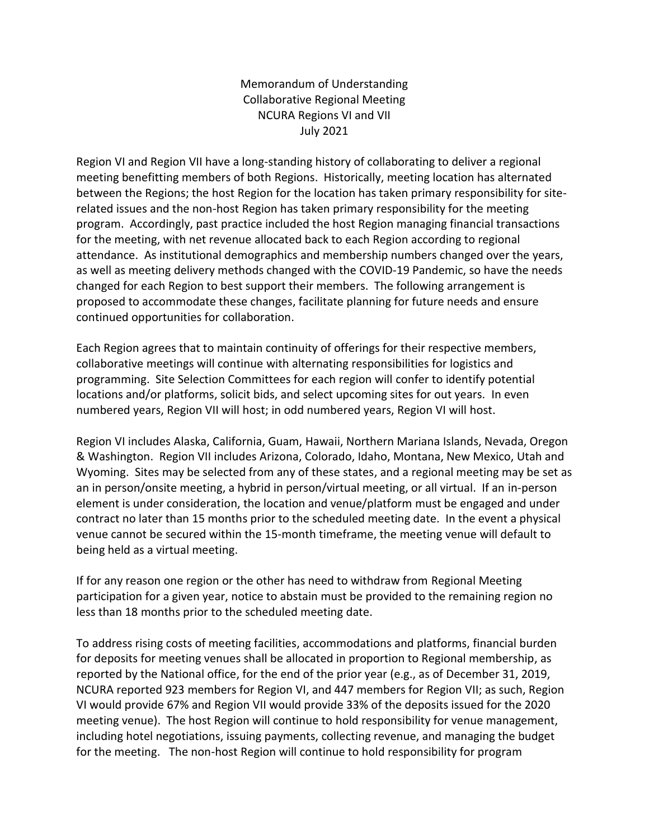Memorandum of Understanding Collaborative Regional Meeting NCURA Regions VI and VII July 2021

Region VI and Region VII have a long-standing history of collaborating to deliver a regional meeting benefitting members of both Regions. Historically, meeting location has alternated between the Regions; the host Region for the location has taken primary responsibility for siterelated issues and the non-host Region has taken primary responsibility for the meeting program. Accordingly, past practice included the host Region managing financial transactions for the meeting, with net revenue allocated back to each Region according to regional attendance. As institutional demographics and membership numbers changed over the years, as well as meeting delivery methods changed with the COVID-19 Pandemic, so have the needs changed for each Region to best support their members. The following arrangement is proposed to accommodate these changes, facilitate planning for future needs and ensure continued opportunities for collaboration.

Each Region agrees that to maintain continuity of offerings for their respective members, collaborative meetings will continue with alternating responsibilities for logistics and programming. Site Selection Committees for each region will confer to identify potential locations and/or platforms, solicit bids, and select upcoming sites for out years. In even numbered years, Region VII will host; in odd numbered years, Region VI will host.

Region VI includes Alaska, California, Guam, Hawaii, Northern Mariana Islands, Nevada, Oregon & Washington. Region VII includes Arizona, Colorado, Idaho, Montana, New Mexico, Utah and Wyoming. Sites may be selected from any of these states, and a regional meeting may be set as an in person/onsite meeting, a hybrid in person/virtual meeting, or all virtual. If an in-person element is under consideration, the location and venue/platform must be engaged and under contract no later than 15 months prior to the scheduled meeting date. In the event a physical venue cannot be secured within the 15-month timeframe, the meeting venue will default to being held as a virtual meeting.

If for any reason one region or the other has need to withdraw from Regional Meeting participation for a given year, notice to abstain must be provided to the remaining region no less than 18 months prior to the scheduled meeting date.

To address rising costs of meeting facilities, accommodations and platforms, financial burden for deposits for meeting venues shall be allocated in proportion to Regional membership, as reported by the National office, for the end of the prior year (e.g., as of December 31, 2019, NCURA reported 923 members for Region VI, and 447 members for Region VII; as such, Region VI would provide 67% and Region VII would provide 33% of the deposits issued for the 2020 meeting venue). The host Region will continue to hold responsibility for venue management, including hotel negotiations, issuing payments, collecting revenue, and managing the budget for the meeting. The non-host Region will continue to hold responsibility for program